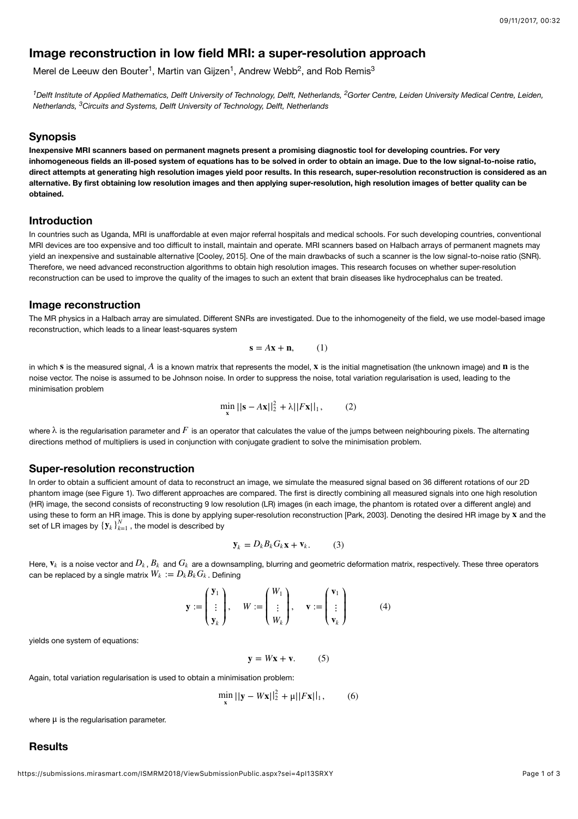# **Image reconstruction in low field MRI: a super-resolution approach**

Merel de Leeuw den Bouter<sup>1</sup>, Martin van Gijzen<sup>1</sup>, Andrew Webb<sup>2</sup>, and Rob Remis<sup>3</sup>

<sup>1</sup> Delft Institute of Applied Mathematics, Delft University of Technology, Delft, Netherlands, <sup>2</sup> Gorter Centre, Leiden University Medical Centre, Leiden, Netherlands, <sup>3</sup>Circuits and Systems, Delft University of Technology, Delft, Netherlands

#### **Synopsis**

**Inexpensive MRI scanners based on permanent magnets present a promising diagnostic tool for developing countries. For very inhomogeneous fields an ill-posed system of equations has to be solved in order to obtain an image. Due to the low signal-to-noise ratio, direct attempts at generating high resolution images yield poor results. In this research, super-resolution reconstruction is considered as an alternative. By first obtaining low resolution images and then applying super-resolution, high resolution images of better quality can be obtained.**

#### **Introduction**

In countries such as Uganda, MRI is unaffordable at even major referral hospitals and medical schools. For such developing countries, conventional MRI devices are too expensive and too difficult to install, maintain and operate. MRI scanners based on Halbach arrays of permanent magnets may yield an inexpensive and sustainable alternative [Cooley, 2015]. One of the main drawbacks of such a scanner is the low signal-to-noise ratio (SNR). Therefore, we need advanced reconstruction algorithms to obtain high resolution images. This research focuses on whether super-resolution reconstruction can be used to improve the quality of the images to such an extent that brain diseases like hydrocephalus can be treated.

#### **Image reconstruction**

The MR physics in a Halbach array are simulated. Different SNRs are investigated. Due to the inhomogeneity of the field, we use model-based image reconstruction, which leads to a linear least-squares system

$$
\mathbf{s} = A\mathbf{x} + \mathbf{n}, \qquad (1)
$$

in which s is the measured signal,  $A$  is a known matrix that represents the model,  $\bf{x}$  is the initial magnetisation (the unknown image) and  $\bf{n}$  is the noise vector. The noise is assumed to be Johnson noise. In order to suppress the noise, total variation regularisation is used, leading to the minimisation problem

$$
\min_{\mathbf{x}} ||\mathbf{s} - A\mathbf{x}||_2^2 + \lambda ||F\mathbf{x}||_1, \qquad (2)
$$

where  $\lambda$  is the regularisation parameter and  $F$  is an operator that calculates the value of the jumps between neighbouring pixels. The alternating directions method of multipliers is used in conjunction with conjugate gradient to solve the minimisation problem.

#### **Super-resolution reconstruction**

In order to obtain a sufficient amount of data to reconstruct an image, we simulate the measured signal based on 36 different rotations of our 2D phantom image (see Figure 1). Two different approaches are compared. The first is directly combining all measured signals into one high resolution (HR) image, the second consists of reconstructing 9 low resolution (LR) images (in each image, the phantom is rotated over a different angle) and using these to form an HR image. This is done by applying super-resolution reconstruction [Park, 2003]. Denoting the desired HR image by x and the set of LR images by  ${\{\boldsymbol{y}_k\}}_{k=1}^N$  , the model is described by

$$
\mathbf{y}_k = D_k B_k G_k \mathbf{x} + \mathbf{v}_k. \tag{3}
$$

Here,  $\mathbf{v}_k$  is a noise vector and  $D_k$  ,  $B_k$  and  $G_k$  are a downsampling, blurring and geometric deformation matrix, respectively. These three operators  $\mathsf{can}$  be replaced by a single matrix  $W_k := D_k B_k G_k$  . Defining

$$
\mathbf{y} := \begin{pmatrix} \mathbf{y}_1 \\ \vdots \\ \mathbf{y}_k \end{pmatrix}, \quad W := \begin{pmatrix} W_1 \\ \vdots \\ W_k \end{pmatrix}, \quad \mathbf{v} := \begin{pmatrix} \mathbf{v}_1 \\ \vdots \\ \mathbf{v}_k \end{pmatrix}
$$
(4)

yields one system of equations:

 $\mathbf{v} = W\mathbf{x} + \mathbf{v}$ . (5)

Again, total variation regularisation is used to obtain a minimisation problem:

$$
\min_{\mathbf{x}} ||\mathbf{y} - W\mathbf{x}||_2^2 + \mu ||F\mathbf{x}||_1, \quad (6)
$$

where  $\mu$  is the regularisation parameter.

### **Results**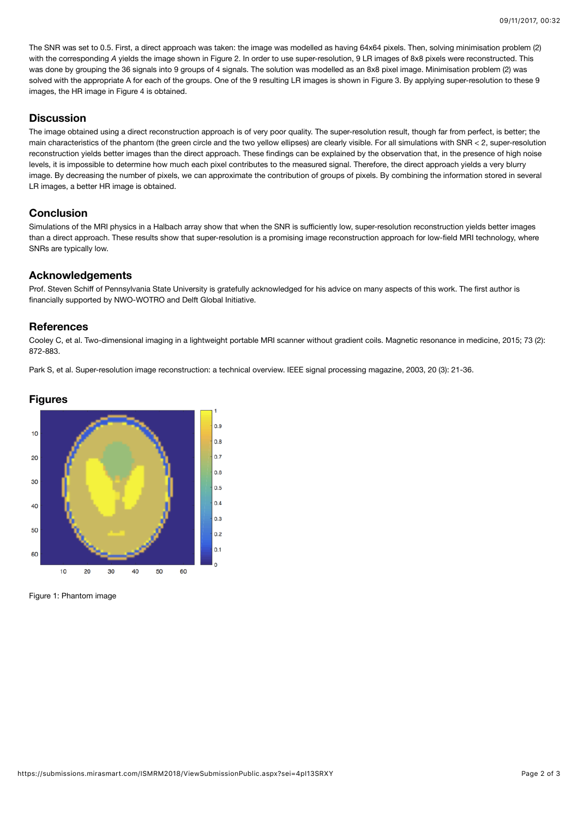The SNR was set to 0.5. First, a direct approach was taken: the image was modelled as having 64x64 pixels. Then, solving minimisation problem (2) with the corresponding *A* yields the image shown in Figure 2. In order to use super-resolution, 9 LR images of 8x8 pixels were reconstructed. This was done by grouping the 36 signals into 9 groups of 4 signals. The solution was modelled as an 8x8 pixel image. Minimisation problem (2) was solved with the appropriate A for each of the groups. One of the 9 resulting LR images is shown in Figure 3. By applying super-resolution to these 9 images, the HR image in Figure 4 is obtained.

## **Discussion**

The image obtained using a direct reconstruction approach is of very poor quality. The super-resolution result, though far from perfect, is better; the main characteristics of the phantom (the green circle and the two yellow ellipses) are clearly visible. For all simulations with SNR < 2, super-resolution reconstruction yields better images than the direct approach. These findings can be explained by the observation that, in the presence of high noise levels, it is impossible to determine how much each pixel contributes to the measured signal. Therefore, the direct approach yields a very blurry image. By decreasing the number of pixels, we can approximate the contribution of groups of pixels. By combining the information stored in several LR images, a better HR image is obtained.

# **Conclusion**

Simulations of the MRI physics in a Halbach array show that when the SNR is sufficiently low, super-resolution reconstruction yields better images than a direct approach. These results show that super-resolution is a promising image reconstruction approach for low-field MRI technology, where SNRs are typically low.

## **Acknowledgements**

Prof. Steven Schiff of Pennsylvania State University is gratefully acknowledged for his advice on many aspects of this work. The first author is financially supported by NWO-WOTRO and Delft Global Initiative.

### **References**

Cooley C, et al. Two‐dimensional imaging in a lightweight portable MRI scanner without gradient coils. Magnetic resonance in medicine, 2015; 73 (2): 872-883.

Park S, et al. Super-resolution image reconstruction: a technical overview. IEEE signal processing magazine, 2003, 20 (3): 21-36.



Figure 1: Phantom image